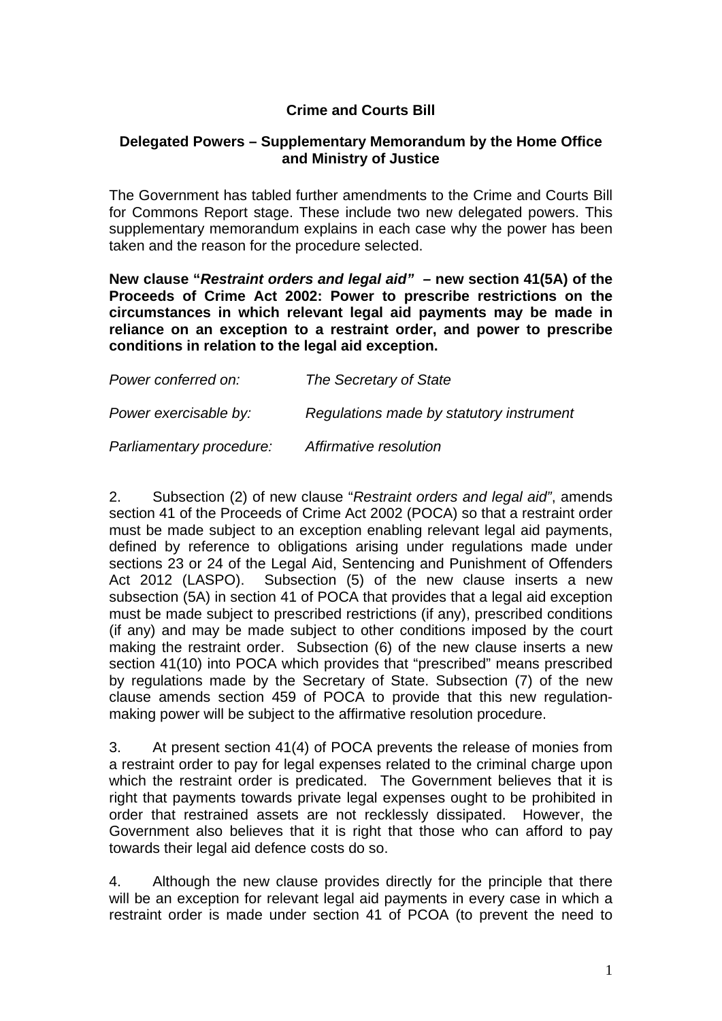## **Crime and Courts Bill**

## **Delegated Powers – Supplementary Memorandum by the Home Office and Ministry of Justice**

The Government has tabled further amendments to the Crime and Courts Bill for Commons Report stage. These include two new delegated powers. This supplementary memorandum explains in each case why the power has been taken and the reason for the procedure selected.

**New clause "***Restraint orders and legal aid" –* **new section 41(5A) of the Proceeds of Crime Act 2002: Power to prescribe restrictions on the circumstances in which relevant legal aid payments may be made in reliance on an exception to a restraint order, and power to prescribe conditions in relation to the legal aid exception.**

| Power conferred on:      | The Secretary of State                   |
|--------------------------|------------------------------------------|
| Power exercisable by:    | Regulations made by statutory instrument |
| Parliamentary procedure: | Affirmative resolution                   |

2. Subsection (2) of new clause "*Restraint orders and legal aid"*, amends section 41 of the Proceeds of Crime Act 2002 (POCA) so that a restraint order must be made subject to an exception enabling relevant legal aid payments, defined by reference to obligations arising under regulations made under sections 23 or 24 of the Legal Aid, Sentencing and Punishment of Offenders Act 2012 (LASPO). Subsection (5) of the new clause inserts a new subsection (5A) in section 41 of POCA that provides that a legal aid exception must be made subject to prescribed restrictions (if any), prescribed conditions (if any) and may be made subject to other conditions imposed by the court making the restraint order. Subsection (6) of the new clause inserts a new section 41(10) into POCA which provides that "prescribed" means prescribed by regulations made by the Secretary of State. Subsection (7) of the new clause amends section 459 of POCA to provide that this new regulationmaking power will be subject to the affirmative resolution procedure.

3. At present section 41(4) of POCA prevents the release of monies from a restraint order to pay for legal expenses related to the criminal charge upon which the restraint order is predicated. The Government believes that it is right that payments towards private legal expenses ought to be prohibited in order that restrained assets are not recklessly dissipated. However, the Government also believes that it is right that those who can afford to pay towards their legal aid defence costs do so.

4. Although the new clause provides directly for the principle that there will be an exception for relevant legal aid payments in every case in which a restraint order is made under section 41 of PCOA (to prevent the need to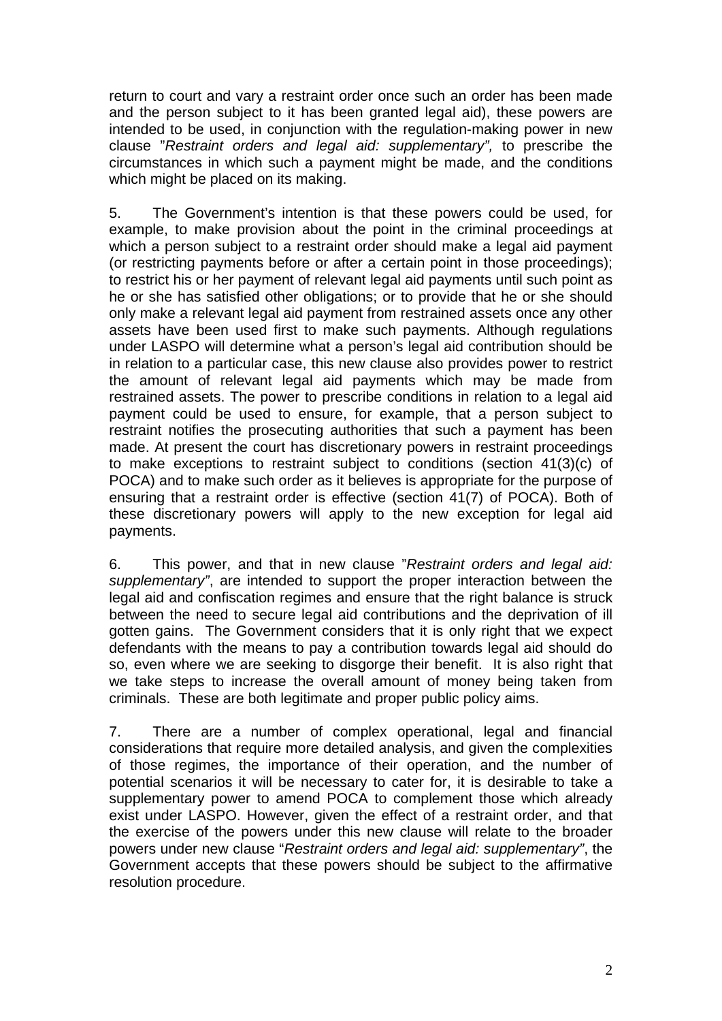return to court and vary a restraint order once such an order has been made and the person subject to it has been granted legal aid), these powers are intended to be used, in conjunction with the regulation-making power in new clause "*Restraint orders and legal aid: supplementary",* to prescribe the circumstances in which such a payment might be made, and the conditions which might be placed on its making.

5. The Government's intention is that these powers could be used, for example, to make provision about the point in the criminal proceedings at which a person subject to a restraint order should make a legal aid payment (or restricting payments before or after a certain point in those proceedings); to restrict his or her payment of relevant legal aid payments until such point as he or she has satisfied other obligations; or to provide that he or she should only make a relevant legal aid payment from restrained assets once any other assets have been used first to make such payments. Although regulations under LASPO will determine what a person's legal aid contribution should be in relation to a particular case, this new clause also provides power to restrict the amount of relevant legal aid payments which may be made from restrained assets. The power to prescribe conditions in relation to a legal aid payment could be used to ensure, for example, that a person subject to restraint notifies the prosecuting authorities that such a payment has been made. At present the court has discretionary powers in restraint proceedings to make exceptions to restraint subject to conditions (section 41(3)(c) of POCA) and to make such order as it believes is appropriate for the purpose of ensuring that a restraint order is effective (section 41(7) of POCA). Both of these discretionary powers will apply to the new exception for legal aid payments.

6. This power, and that in new clause "*Restraint orders and legal aid: supplementary"*, are intended to support the proper interaction between the legal aid and confiscation regimes and ensure that the right balance is struck between the need to secure legal aid contributions and the deprivation of ill gotten gains. The Government considers that it is only right that we expect defendants with the means to pay a contribution towards legal aid should do so, even where we are seeking to disgorge their benefit. It is also right that we take steps to increase the overall amount of money being taken from criminals. These are both legitimate and proper public policy aims.

7. There are a number of complex operational, legal and financial considerations that require more detailed analysis, and given the complexities of those regimes, the importance of their operation, and the number of potential scenarios it will be necessary to cater for, it is desirable to take a supplementary power to amend POCA to complement those which already exist under LASPO. However, given the effect of a restraint order, and that the exercise of the powers under this new clause will relate to the broader powers under new clause "*Restraint orders and legal aid: supplementary"*, the Government accepts that these powers should be subject to the affirmative resolution procedure.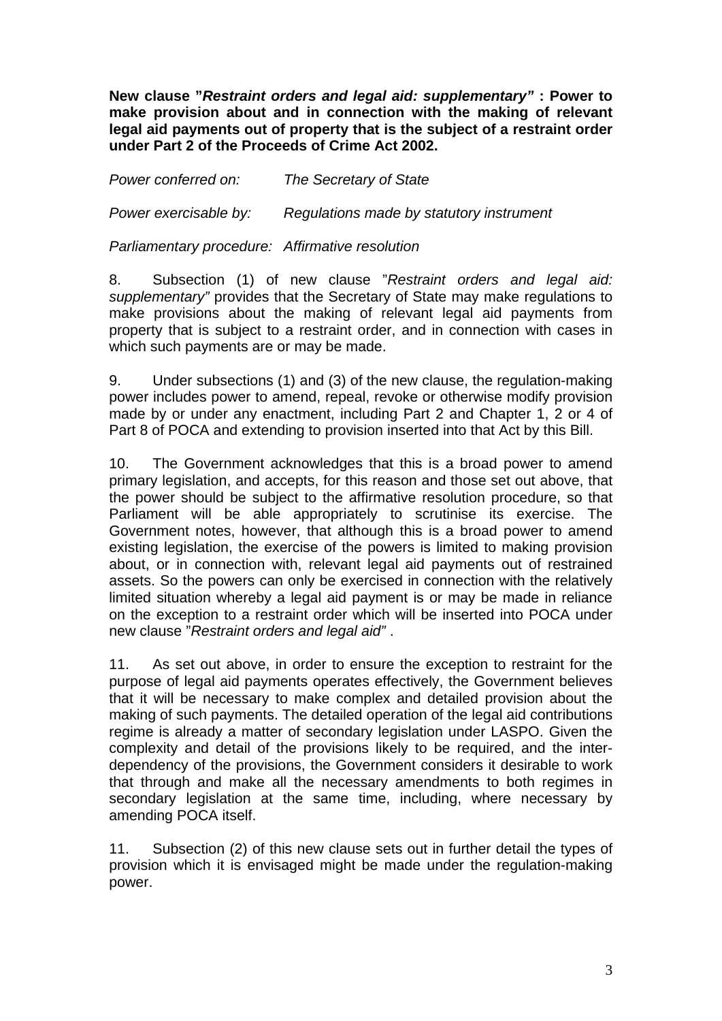**New clause "***Restraint orders and legal aid: supplementary"* **: Power to make provision about and in connection with the making of relevant legal aid payments out of property that is the subject of a restraint order under Part 2 of the Proceeds of Crime Act 2002.**

*Power conferred on: The Secretary of State* 

*Power exercisable by: Regulations made by statutory instrument* 

*Parliamentary procedure: Affirmative resolution* 

8. Subsection (1) of new clause "*Restraint orders and legal aid: supplementary"* provides that the Secretary of State may make regulations to make provisions about the making of relevant legal aid payments from property that is subject to a restraint order, and in connection with cases in which such payments are or may be made.

9. Under subsections (1) and (3) of the new clause, the regulation-making power includes power to amend, repeal, revoke or otherwise modify provision made by or under any enactment, including Part 2 and Chapter 1, 2 or 4 of Part 8 of POCA and extending to provision inserted into that Act by this Bill.

10. The Government acknowledges that this is a broad power to amend primary legislation, and accepts, for this reason and those set out above, that the power should be subject to the affirmative resolution procedure, so that Parliament will be able appropriately to scrutinise its exercise. The Government notes, however, that although this is a broad power to amend existing legislation, the exercise of the powers is limited to making provision about, or in connection with, relevant legal aid payments out of restrained assets. So the powers can only be exercised in connection with the relatively limited situation whereby a legal aid payment is or may be made in reliance on the exception to a restraint order which will be inserted into POCA under new clause "*Restraint orders and legal aid"* .

11. As set out above, in order to ensure the exception to restraint for the purpose of legal aid payments operates effectively, the Government believes that it will be necessary to make complex and detailed provision about the making of such payments. The detailed operation of the legal aid contributions regime is already a matter of secondary legislation under LASPO. Given the complexity and detail of the provisions likely to be required, and the interdependency of the provisions, the Government considers it desirable to work that through and make all the necessary amendments to both regimes in secondary legislation at the same time, including, where necessary by amending POCA itself.

11. Subsection (2) of this new clause sets out in further detail the types of provision which it is envisaged might be made under the regulation-making power.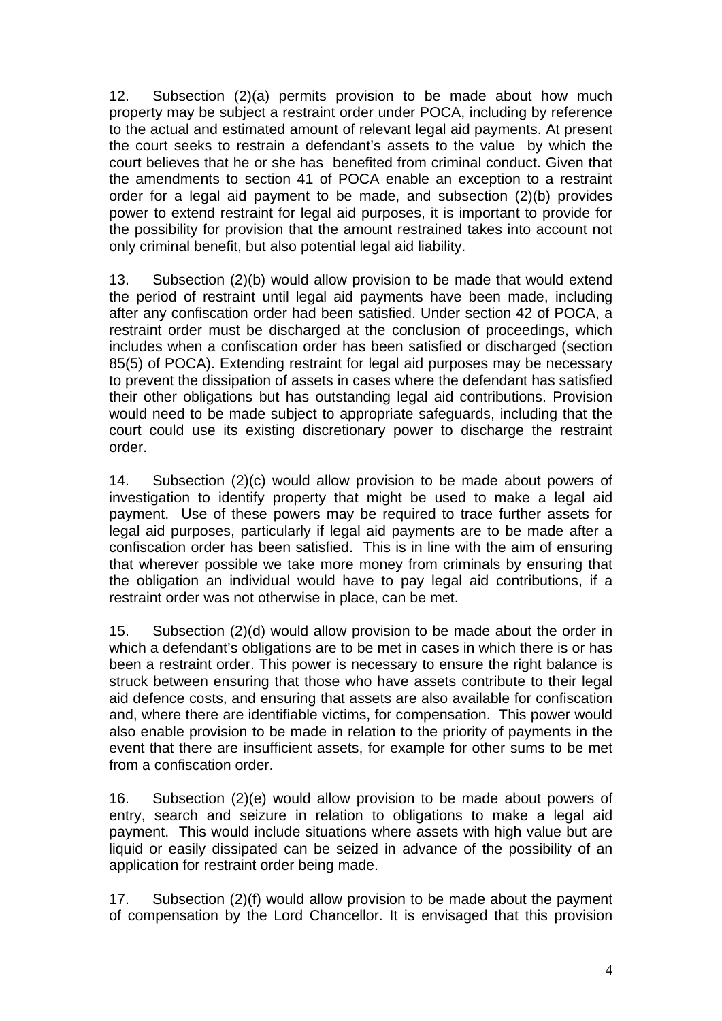12. Subsection (2)(a) permits provision to be made about how much property may be subject a restraint order under POCA, including by reference to the actual and estimated amount of relevant legal aid payments. At present the court seeks to restrain a defendant's assets to the value by which the court believes that he or she has benefited from criminal conduct. Given that the amendments to section 41 of POCA enable an exception to a restraint order for a legal aid payment to be made, and subsection (2)(b) provides power to extend restraint for legal aid purposes, it is important to provide for the possibility for provision that the amount restrained takes into account not only criminal benefit, but also potential legal aid liability.

13. Subsection (2)(b) would allow provision to be made that would extend the period of restraint until legal aid payments have been made, including after any confiscation order had been satisfied. Under section 42 of POCA, a restraint order must be discharged at the conclusion of proceedings, which includes when a confiscation order has been satisfied or discharged (section 85(5) of POCA). Extending restraint for legal aid purposes may be necessary to prevent the dissipation of assets in cases where the defendant has satisfied their other obligations but has outstanding legal aid contributions. Provision would need to be made subject to appropriate safeguards, including that the court could use its existing discretionary power to discharge the restraint order.

14. Subsection (2)(c) would allow provision to be made about powers of investigation to identify property that might be used to make a legal aid payment. Use of these powers may be required to trace further assets for legal aid purposes, particularly if legal aid payments are to be made after a confiscation order has been satisfied. This is in line with the aim of ensuring that wherever possible we take more money from criminals by ensuring that the obligation an individual would have to pay legal aid contributions, if a restraint order was not otherwise in place, can be met.

15. Subsection (2)(d) would allow provision to be made about the order in which a defendant's obligations are to be met in cases in which there is or has been a restraint order. This power is necessary to ensure the right balance is struck between ensuring that those who have assets contribute to their legal aid defence costs, and ensuring that assets are also available for confiscation and, where there are identifiable victims, for compensation. This power would also enable provision to be made in relation to the priority of payments in the event that there are insufficient assets, for example for other sums to be met from a confiscation order.

16. Subsection (2)(e) would allow provision to be made about powers of entry, search and seizure in relation to obligations to make a legal aid payment. This would include situations where assets with high value but are liquid or easily dissipated can be seized in advance of the possibility of an application for restraint order being made.

17. Subsection (2)(f) would allow provision to be made about the payment of compensation by the Lord Chancellor. It is envisaged that this provision